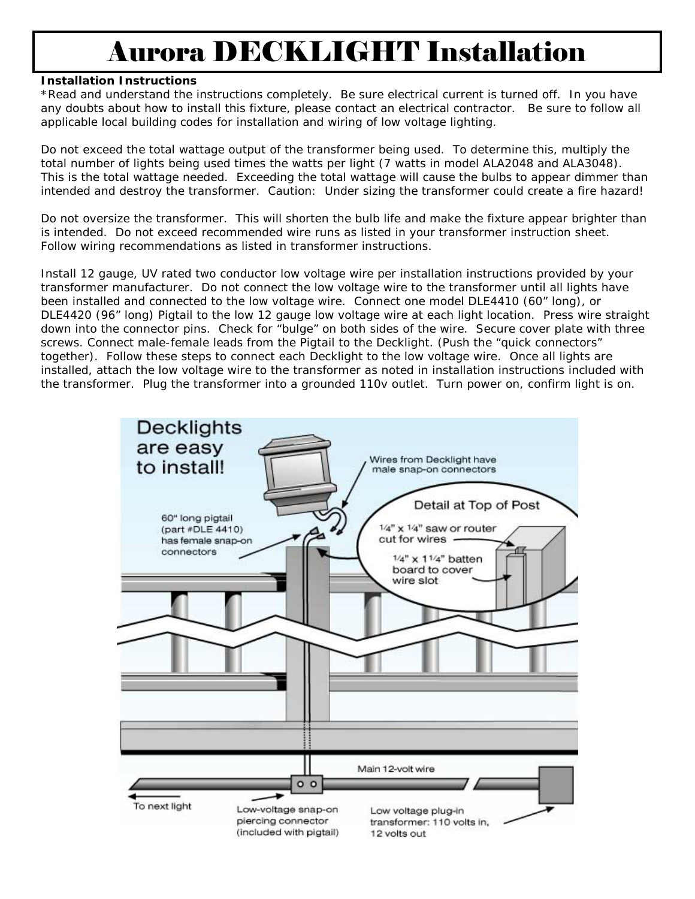# Aurora DECKLIGHT Installation

#### **Installation Instructions**

\*Read and understand the instructions completely. Be sure electrical current is turned off. In you have any doubts about how to install this fixture, please contact an electrical contractor. Be sure to follow all applicable local building codes for installation and wiring of low voltage lighting.

Do not exceed the total wattage output of the transformer being used. To determine this, multiply the total number of lights being used times the watts per light (7 watts in model ALA2048 and ALA3048). This is the total wattage needed. Exceeding the total wattage will cause the bulbs to appear dimmer than intended and destroy the transformer. Caution: Under sizing the transformer could create a fire hazard!

Do not oversize the transformer. This will shorten the bulb life and make the fixture appear brighter than is intended. Do not exceed recommended wire runs as listed in your transformer instruction sheet. Follow wiring recommendations as listed in transformer instructions.

Install 12 gauge, UV rated two conductor low voltage wire per installation instructions provided by your transformer manufacturer. Do not connect the low voltage wire to the transformer until all lights have been installed and connected to the low voltage wire. Connect one model DLE4410 (60" long), or DLE4420 (96" long) Pigtail to the low 12 gauge low voltage wire at each light location. Press wire straight down into the connector pins. Check for "bulge" on both sides of the wire. Secure cover plate with three screws. Connect male-female leads from the Pigtail to the Decklight. (Push the "quick connectors" together). Follow these steps to connect each Decklight to the low voltage wire. Once all lights are installed, attach the low voltage wire to the transformer as noted in installation instructions included with the transformer. Plug the transformer into a grounded 110v outlet. Turn power on, confirm light is on.